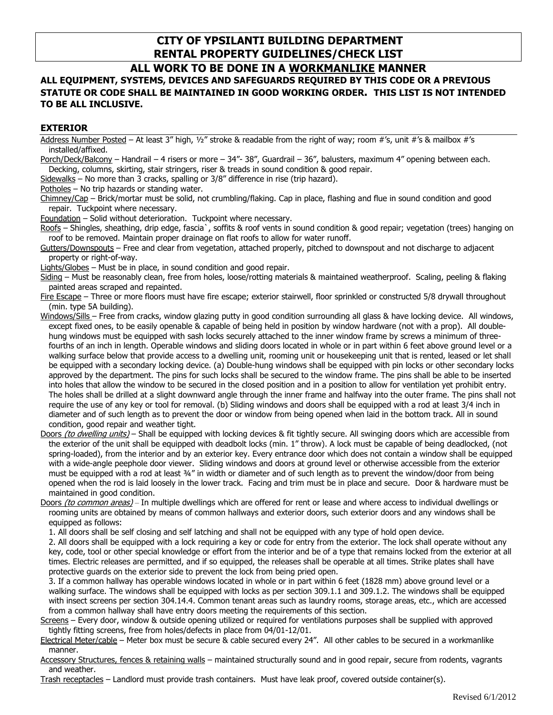# **CITY OF YPSILANTI BUILDING DEPARTMENT RENTAL PROPERTY GUIDELINES/CHECK LIST**

# **ALL WORK TO BE DONE IN A WORKMANLIKE MANNER**

# **ALL EQUIPMENT, SYSTEMS, DEVICES AND SAFEGUARDS REQUIRED BY THIS CODE OR A PREVIOUS STATUTE OR CODE SHALL BE MAINTAINED IN GOOD WORKING ORDER. THIS LIST IS NOT INTENDED TO BE ALL INCLUSIVE.**

## **EXTERIOR**

Address Number Posted – At least 3" high, ½" stroke & readable from the right of way; room #'s, unit #'s & mailbox #'s installed/affixed.

Porch/Deck/Balcony – Handrail – 4 risers or more – 34"- 38", Guardrail – 36", balusters, maximum 4" opening between each. Decking, columns, skirting, stair stringers, riser & treads in sound condition & good repair.

Sidewalks – No more than 3 cracks, spalling or 3/8" difference in rise (trip hazard).

Potholes – No trip hazards or standing water.

Chimney/Cap – Brick/mortar must be solid, not crumbling/flaking. Cap in place, flashing and flue in sound condition and good repair. Tuckpoint where necessary.

Foundation – Solid without deterioration. Tuckpoint where necessary.

Roofs – Shingles, sheathing, drip edge, fascia`, soffits & roof vents in sound condition & good repair; vegetation (trees) hanging on roof to be removed. Maintain proper drainage on flat roofs to allow for water runoff.

Gutters/Downspouts – Free and clear from vegetation, attached properly, pitched to downspout and not discharge to adjacent property or right-of-way.

Lights/Globes – Must be in place, in sound condition and good repair.

Siding – Must be reasonably clean, free from holes, loose/rotting materials & maintained weatherproof. Scaling, peeling & flaking painted areas scraped and repainted.

Fire Escape – Three or more floors must have fire escape; exterior stairwell, floor sprinkled or constructed 5/8 drywall throughout (min. type 5A building).

Windows/Sills – Free from cracks, window glazing putty in good condition surrounding all glass & have locking device. All windows, except fixed ones, to be easily openable & capable of being held in position by window hardware (not with a prop). All doublehung windows must be equipped with sash locks securely attached to the inner window frame by screws a minimum of threefourths of an inch in length. Operable windows and sliding doors located in whole or in part within 6 feet above ground level or a walking surface below that provide access to a dwelling unit, rooming unit or housekeeping unit that is rented, leased or let shall be equipped with a secondary locking device. (a) Double-hung windows shall be equipped with pin locks or other secondary locks approved by the department. The pins for such locks shall be secured to the window frame. The pins shall be able to be inserted into holes that allow the window to be secured in the closed position and in a position to allow for ventilation yet prohibit entry. The holes shall be drilled at a slight downward angle through the inner frame and halfway into the outer frame. The pins shall not require the use of any key or tool for removal. (b) Sliding windows and doors shall be equipped with a rod at least 3/4 inch in diameter and of such length as to prevent the door or window from being opened when laid in the bottom track. All in sound condition, good repair and weather tight.

Doors *(to dwelling units)* – Shall be equipped with locking devices & fit tightly secure. All swinging doors which are accessible from the exterior of the unit shall be equipped with deadbolt locks (min. 1" throw). A lock must be capable of being deadlocked, (not spring-loaded), from the interior and by an exterior key. Every entrance door which does not contain a window shall be equipped with a wide-angle peephole door viewer. Sliding windows and doors at ground level or otherwise accessible from the exterior must be equipped with a rod at least 34" in width or diameter and of such length as to prevent the window/door from being opened when the rod is laid loosely in the lower track. Facing and trim must be in place and secure. Door & hardware must be maintained in good condition.

Doors (to common areas) – In multiple dwellings which are offered for rent or lease and where access to individual dwellings or rooming units are obtained by means of common hallways and exterior doors, such exterior doors and any windows shall be equipped as follows:

1. All doors shall be self closing and self latching and shall not be equipped with any type of hold open device.

2. All doors shall be equipped with a lock requiring a key or code for entry from the exterior. The lock shall operate without any key, code, tool or other special knowledge or effort from the interior and be of a type that remains locked from the exterior at all times. Electric releases are permitted, and if so equipped, the releases shall be operable at all times. Strike plates shall have protective guards on the exterior side to prevent the lock from being pried open.

3. If a common hallway has operable windows located in whole or in part within 6 feet (1828 mm) above ground level or a walking surface. The windows shall be equipped with locks as per section 309.1.1 and 309.1.2. The windows shall be equipped with insect screens per section 304.14.4. Common tenant areas such as laundry rooms, storage areas, etc., which are accessed from a common hallway shall have entry doors meeting the requirements of this section.

Screens – Every door, window & outside opening utilized or required for ventilations purposes shall be supplied with approved tightly fitting screens, free from holes/defects in place from 04/01-12/01.

Electrical Meter/cable - Meter box must be secure & cable secured every 24". All other cables to be secured in a workmanlike manner.

Accessory Structures, fences & retaining walls - maintained structurally sound and in good repair, secure from rodents, vagrants and weather.

Trash receptacles – Landlord must provide trash containers. Must have leak proof, covered outside container(s).